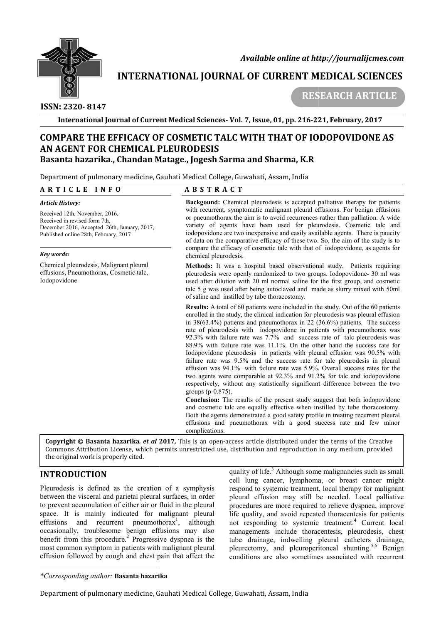

 *Available online at http://journalijcmes.com*

# **INTERNATIONAL JOURNAL OF CURRENT MEDICAL SCIENCES SCIENCES**

 **ISSN: 2320- 8147**

 **RESEARCH ARTICLE**

**International Journal of Current Medical Sciences Sciences- Vol. 7, Issue, 01, pp. 216-221 221, February, 2017**

## **COMPARE THE EFFICACY OF COSMETIC TALC WITH THAT OF IODOPOVIDONE AS AN AGENT FOR CHEMICAL PLEURODESIS Basanta hazarika., Chandan Matage Matage., Jogesh Sarma and Sharma, K.R**

Department of pulmonary medicine, Gauhati Medical College, Guwahati, Assam, India

#### **A R T I C L E I N F O**

#### **A B S T R A C T**

#### *Article History:*

Received 12th, November, 2016, Received in revised form 7th, December 2016, Accepted 26th, January, 2017, Published online 28th, February, 2017

#### *Key words:*

Chemical pleurodesis, Malignant pleural effusions, Pneumothorax, Cosmetic talc, Iodopovidone

**Backgound:** Chemical pleurodesis is accepted palliative therapy for patients with recurrent, symptomatic malignant pleural effusions. For benign effusions or pneumothorax the aim is to avoid recurrences rather than palliation. A wide or pneumothorax the aim is to avoid recurrences rather than palliation. A wide variety of agents have been used for pleurodesis. Cosmetic talc and iodopovidone are two inexpensive and easily available agents. There is paucity iodopovidone are two inexpensive and easily available agents. There is paucity of data on the comparative efficacy of these two. So, the aim of the study is to compare the efficacy of cosmetic talc with that of iodopovidone, as agents for chemical pleurodesis.

Methods: It was a hospital based observational study. Patients requiring pleurodesis were openly randomized to two groups. Iodopovidone- 30 ml was used after dilution with 20 ml normal saline for the first group, and cosmetic talc 5 g was used after being autoclaved and made as slurry mixed with 50ml of saline and instilled by tube thoracostomy. tale 5 g was used after being autoclaved and made as slurry mixed with 50ml of saline and instilled by tube thoracostomy.<br>**Results:** A total of 60 patients were included in the study. Out of the 60 patients

enrolled in the study, the clinical indication for pleurodesis was pleural effusion enrolled in the study, the clinical indication for pleurodesis was pleural effusion in  $38(63.4%)$  patients and pneumothorax in 22 (36.6%) patients. The success rate of pleurodesis with iodopovidone in patients with pneumothorax was rate of pleurodesis with iodopovidone in patients with pneumothorax was 92.3% with failure rate was 7.7% and success rate of talc pleurodesis was 88.9% with failure rate was 11.1%. On the other hand the success rate for Iodopovidone pleurodesis in patients with pleural effusion was 90.5% with failure rate was 9.5% and the success rate for talc pleurodesis in pleural effusion was 94.1% with failure rate was 5.9%. Overall success rates for the two agents were comparable at 92.3% and 91.2% for talc and iodopovidone respectively, without any statistically significant difference between the two groups (p-0.875). 88.9% with failure rate was 11.1%. On the other hand the success rate for Iodopovidone pleurodesis in patients with pleural effusion was 9.5% and the success rate for talc pleurodesis in pleural effusion was 94.1% with fa

**Conclusion:** The results of the present study suggest that both iodopovidone and cosmetic talc are equally effective when instilled by tube thoracostomy. Both the agents demonstrated a good safety profile in treating recurrent pleural effusions and pneumothorax with a good success rate and few minor complications. two agents were comparable at 92.3% and 91.2% for talc and iodopovidone<br>respectively, without any statistically significant difference between the two<br>groups (p-0.875).<br>**Conclusion:** The results of the present study sugges

**Copyright © Basanta hazarika***. et al* **201 2017***,* This is an open-access article distributed under the terms of the Creative **Copyright © Basanta hazarika.** *et al* **2017,** This is an open-access article distributed under the terms of the Creative<br>Commons Attribution License, which permits unrestricted use, distribution and reproduction in any med the original work is properly cited.

### **INTRODUCTION**

Pleurodesis is defined as the creation of a symphysis between the visceral and parietal pleural surfaces, in order to prevent accumulation of either air or fluid in the pleural space. It is mainly indicated for malignant pleural effusions and recurrent pneumothorax<sup>1</sup>, although occasionally, troublesome benign effusions may also benefit from this procedure.<sup>2</sup> Progressive dyspnea is the most common symptom in patients with malignant pleural effusion followed by cough and chest pain that affect the

quality of life.<sup>3</sup> Although some malignancies such as small cell lung cancer, lymphoma, or breast cancer might respond to systemic treatment, local therapy for malignant pleural effusion may still be needed. Local palliative pleural effusion may still be needed. Local palliative procedures are more required to relieve dyspnea, improve life quality, and avoid repeated thoracentesis for patients life quality, and avoid repeated thoracentesis for patients not responding to systemic treatment.<sup>4</sup> Current local managements include thoracentesis, pleurodesis, chest tube drainage, indwelling pleural catheters drainage, pleurectomy, and pleuroperitoneal shunting.<sup>5,6</sup> Benign conditions are also sometimes associated with recurrent gements include thoracentesis, pleurodesis, chest drainage, indwelling pleural catheters drainage, ctomy, and pleuroperitoneal shunting.<sup>5,6</sup> Benign

*<sup>\*</sup>Corresponding author:* **Basanta hazarika**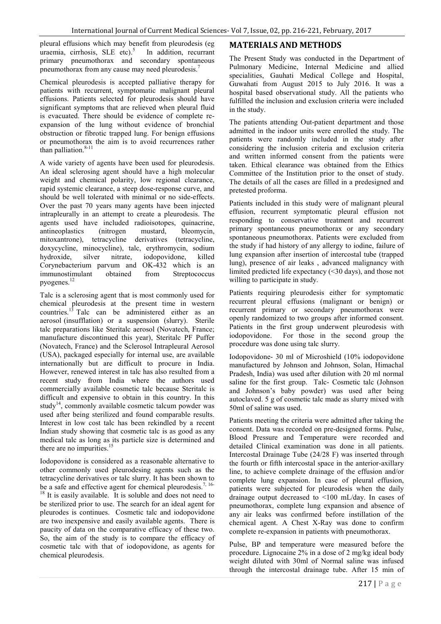pleural effusions which may benefit from pleurodesis (eg uraemia. cirrhosis. SLE etc).<sup>5</sup> In addition. recurrant uraemia, cirrhosis, SLE etc). $5$ primary pneumothorax and secondary spontaneous pneumothorax from any cause may need pleurodesis.7

Chemical pleurodesis is accepted palliative therapy for patients with recurrent, symptomatic malignant pleural effusions. Patients selected for pleurodesis should have significant symptoms that are relieved when pleural fluid is evacuated. There should be evidence of complete reexpansion of the lung without evidence of bronchial obstruction or fibrotic trapped lung. For benign effusions or pneumothorax the aim is to avoid recurrences rather than palliation. $8-11$ 

A wide variety of agents have been used for pleurodesis. An ideal sclerosing agent should have a high molecular weight and chemical polarity, low regional clearance, rapid systemic clearance, a steep dose-response curve, and should be well tolerated with minimal or no side-effects. Over the past 70 years many agents have been injected intrapleurally in an attempt to create a pleurodesis. The agents used have included radioisotopes, quinacrine, antineoplastics (nitrogen mustard, bleomycin, mitoxantrone), tetracycline derivatives (tetracycline, doxycycline, minocycline), talc, erythromycin, sodium hydroxide, silver nitrate, iodopovidone, killed Corynebacterium parvum and OK-432 which is an immunostimulant obtained from Streptococcus pyogenes.<sup>12</sup>

Talc is a sclerosing agent that is most commonly used for chemical pleurodesis at the present time in western countries.<sup>13</sup> Talc can be administered either as an aerosol (insufflation) or a suspension (slurry). Sterile talc preparations like Steritalc aerosol (Novatech, France; manufacture discontinued this year), Steritalc PF Puffer (Novatech, France) and the Sclerosol Intrapleural Aerosol (USA), packaged especially for internal use, are available internationally but are difficult to procure in India. However, renewed interest in talc has also resulted from a recent study from India where the authors used commercially available cosmetic talc because Steritalc is difficult and expensive to obtain in this country. In this study<sup>14</sup>, commonly available cosmetic talcum powder was used after being sterilized and found comparable results. Interest in low cost talc has been rekindled by a recent Indian study showing that cosmetic talc is as good as any medical talc as long as its particle size is determined and there are no impurities.<sup>15</sup>

Iodopovidone is considered as a reasonable alternative to other commonly used pleurodesing agents such as the tetracycline derivatives or talc slurry. It has been shown to be a safe and effective agent for chemical pleurodesis.<sup>7, 16-</sup> <sup>18</sup> It is easily available. It is soluble and does not need to be sterilized prior to use. The search for an ideal agent for pleurodes is continues. Cosmetic talc and iodopovidone are two inexpensive and easily available agents. There is paucity of data on the comparative efficacy of these two. So, the aim of the study is to compare the efficacy of cosmetic talc with that of iodopovidone, as agents for chemical pleurodesis.

### **MATERIALS AND METHODS**

The Present Study was conducted in the Department of Pulmonary Medicine, Internal Medicine and allied specialities, Gauhati Medical College and Hospital, Guwahati from August 2015 to July 2016. It was a hospital based observational study. All the patients who fulfilled the inclusion and exclusion criteria were included in the study.

The patients attending Out-patient department and those admitted in the indoor units were enrolled the study. The patients were randomly included in the study after considering the inclusion criteria and exclusion criteria and written informed consent from the patients were taken. Ethical clearance was obtained from the Ethics Committee of the Institution prior to the onset of study. The details of all the cases are filled in a predesigned and pretested proforma.

Patients included in this study were of malignant pleural effusion, recurrent symptomatic pleural effusion not responding to conservative treatment and recurrent primary spontaneous pneumothorax or any secondary spontaneous pneumothorax. Patients were excluded from the study if had history of any allergy to iodine, failure of lung expansion after insertion of intercostal tube (trapped lung), presence of air leaks , advanced malignancy with limited predicted life expectancy (<30 days), and those not willing to participate in study.

Patients requiring pleurodesis either for symptomatic recurrent pleural effusions (malignant or benign) or recurrent primary or secondary pneumothorax were openly randomized to two groups after informed consent. Patients in the first group underwent pleurodesis with iodopovidone. For those in the second group the procedure was done using talc slurry.

Iodopovidone- 30 ml of Microshield (10% iodopovidone manufactured by Johnson and Johnson, Solan, Himachal Pradesh, India) was used after dilution with 20 ml normal saline for the first group. Talc- Cosmetic talc (Johnson and Johnson's baby powder) was used after being autoclaved. 5 g of cosmetic talc made as slurry mixed with 50ml of saline was used.

Patients meeting the criteria were admitted after taking the consent. Data was recorded on pre-designed forms. Pulse, Blood Pressure and Temperature were recorded and detailed Clinical examination was done in all patients. Intercostal Drainage Tube (24/28 F) was inserted through the fourth or fifth intercostal space in the anterior-axillary line, to achieve complete drainage of the effusion and/or complete lung expansion. In case of pleural effusion, patients were subjected for pleurodesis when the daily drainage output decreased to  $\leq 100$  mL/day. In cases of pneumothorax, complete lung expansion and absence of any air leaks was confirmed before instillation of the chemical agent. A Chest X-Ray was done to confirm complete re-expansion in patients with pneumothorax.

Pulse, BP and temperature were measured before the procedure. Lignocaine 2% in a dose of 2 mg/kg ideal body weight diluted with 30ml of Normal saline was infused through the intercostal drainage tube. After 15 min of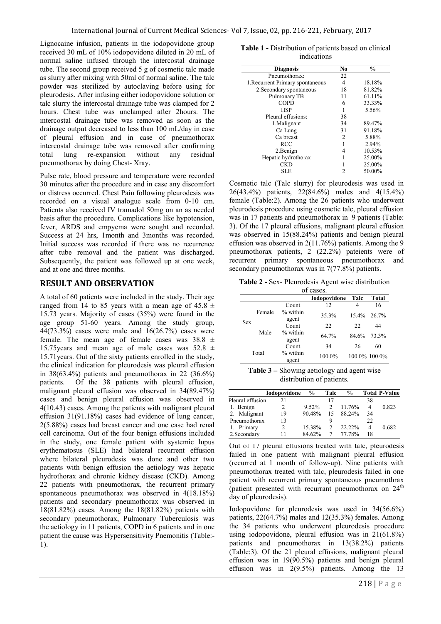Lignocaine infusion, patients in the iodopovidone group received 30 mL of 10% iodopovidone diluted in 20 mL of normal saline infused through the intercostal drainage tube. The second group received 5 g of cosmetic talc made as slurry after mixing with 50ml of normal saline. The talc powder was sterilized by autoclaving before using for pleurodesis. After infusing either iodopovidone solution or talc slurry the intercostal drainage tube was clamped for 2 hours. Chest tube was unclamped after 2hours. The intercostal drainage tube was removed as soon as the drainage output decreased to less than 100 mL/day in case of pleural effusion and in case of pneumothorax intercostal drainage tube was removed after confirming total lung re-expansion without any residual pneumothorax by doing Chest- Xray.

Pulse rate, blood pressure and temperature were recorded 30 minutes after the procedure and in case any discomfort or distress occurred. Chest Pain following pleurodesis was recorded on a visual analogue scale from 0-10 cm. Patients also received IV tramadol 50mg on an as needed basis after the procedure. Complications like hypotension, fever, ARDS and empyema were sought and recorded. Success at 24 hrs, 1month and 3months was recorded. Initial success was recorded if there was no recurrence after tube removal and the patient was discharged. Subsequently, the patient was followed up at one week, and at one and three months.

### **RESULT AND OBSERVATION**

A total of 60 patients were included in the study. Their age ranged from 14 to 85 years with a mean age of 45.8  $\pm$ 15.73 years. Majority of cases (35%) were found in the age group 51-60 years. Among the study group, 44(73.3%) cases were male and 16(26.7%) cases were female. The mean age of female cases was  $38.8 \pm$ 15.75 years and mean age of male cases was  $52.8 \pm$ 15.71years. Out of the sixty patients enrolled in the study, the clinical indication for pleurodesis was pleural effusion in  $38(63.4\%)$  patients and pneumothorax in 22 (36.6%) patients. Of the 38 patients with pleural effusion, malignant pleural effusion was observed in 34(89.47%) cases and benign pleural effusion was observed in 4(10.43) cases. Among the patients with malignant pleural effusion 31(91.18%) cases had evidence of lung cancer, 2(5.88%) cases had breast cancer and one case had renal cell carcinoma. Out of the four benign effusions included in the study, one female patient with systemic lupus erythematosus (SLE) had bilateral recurrent effusion where bilateral pleurodesis was done and other two patients with benign effusion the aetiology was hepatic hydrothorax and chronic kidney disease (CKD). Among 22 patients with pneumothorax, the recurrent primary spontaneous pneumothorax was observed in 4(18.18%) patients and secondary pneumothorax was observed in 18(81.82%) cases. Among the 18(81.82%) patients with secondary pneumothorax, Pulmonary Tuberculosis was the aetiology in 11 patients, COPD in 6 patients and in one patient the cause was Hypersensitivity Pnemonitis (Table:- 1).

**Table 1 -** Distribution of patients based on clinical indications

|                                  | No             | $\%$   |
|----------------------------------|----------------|--------|
| <b>Diagnosis</b>                 |                |        |
| Pneumothorax:                    | 22             |        |
| 1. Recurrent Primary spontaneous | 4              | 18.18% |
| 2. Secondary spontaneous         | 18             | 81.82% |
| Pulmonary TB                     | 11             | 61.11% |
| <b>COPD</b>                      | 6              | 33.33% |
| <b>HSP</b>                       |                | 5.56%  |
| Pleural effusions:               | 38             |        |
| 1. Malignant                     | 34             | 89.47% |
| Ca Lung                          | 31             | 91.18% |
| Ca breast                        | $\overline{2}$ | 5.88%  |
| <b>RCC</b>                       |                | 2.94%  |
| 2.Benign                         | 4              | 10.53% |
| Hepatic hydrothorax              |                | 25.00% |
| <b>CKD</b>                       |                | 25.00% |
| SLE                              | 2              | 50.00% |

Cosmetic talc (Talc slurry) for pleurodesis was used in 26(43.4%) patients, 22(84.6%) males and 4(15.4%) female (Table:2). Among the 26 patients who underwent pleurodesis procedure using cosmetic talc, pleural effusion was in 17 patients and pneumothorax in 9 patients (Table: 3). Of the 17 pleural effusions, malignant pleural effusion was observed in 15(88.24%) patients and benign pleural effusion was observed in 2(11.76%) patients. Among the 9 pneumothorax patients, 2 (22.2%) pateients were of recurrent primary spontaneous pneumothorax and secondary pneumothorax was in 7(77.8%) patients.

**Table 2 -** Sex- Pleurodesis Agent wise distribution

| of cases.          |        |                     |              |       |                |  |
|--------------------|--------|---------------------|--------------|-------|----------------|--|
|                    |        |                     | Iodopovidone | Talc  | Total          |  |
|                    |        | Count               | 12           | 4     | 16             |  |
|                    | Female | $%$ within<br>agent | 35.3%        |       | $15.4\%$ 26.7% |  |
| <b>Sex</b><br>Male |        | Count               | 22           | 22    | 44             |  |
|                    |        | % within<br>agent   | 64.7%        | 84.6% | 73.3%          |  |
|                    |        | Count               | 34           | 26    | 60             |  |
| Total              |        | $%$ within<br>agent | 100.0%       |       | 100.0% 100.0%  |  |

**Table 3 –** Showing aetiology and agent wise distribution of patients.

|                  | <b>Iodopovidone</b> | $\frac{6}{9}$ | Talc          | $\frac{0}{0}$ |     | <b>Total P-Value</b> |
|------------------|---------------------|---------------|---------------|---------------|-----|----------------------|
| Pleural effusion | 21                  |               | 17            |               | 38  |                      |
| 1. Benign        | 2                   | $9.52\%$      | 2             | 11.76%        | 4   | 0.823                |
| 2. Malignant     | 19                  | 90.48%        | 15            | 88.24%        | 34  |                      |
| Pneumothorax     | 13                  |               |               |               | 22. |                      |
| 1. Primary       | 2                   | 15.38%        | $\mathcal{P}$ | 22.22%        | 4   | 0.682                |
| 2. Secondary     |                     | 84.62%        |               | 77.78%        | 18  |                      |

Out of 17 pleural effusions treated with talc, pleurodesis failed in one patient with malignant pleural effusion (recurred at 1 month of follow-up). Nine patients with pneumothorax treated with talc, pleurodesis failed in one patient with recurrent primary spontaneous pneumothrax (patient presented with recurrant pneumothorax on  $24<sup>th</sup>$ day of pleurodesis).

Iodopovidone for pleurodesis was used in 34(56.6%) patients, 22(64.7%) males and 12(35.3%) females. Among the 34 patients who underwent pleurodesis procedure using iodopovidone, pleural effusion was in 21(61.8%) patients and pneumothorax in 13(38.2%) patients (Table:3). Of the 21 pleural effusions, malignant pleural effusion was in 19(90.5%) patients and benign pleural effusion was in 2(9.5%) patients. Among the 13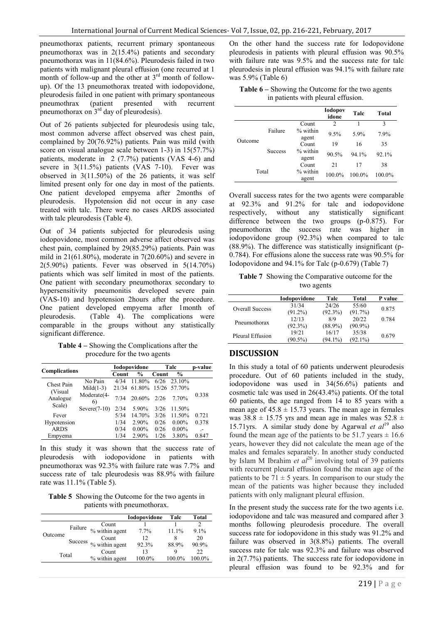pneumothorax patients, recurrent primary spontaneous pneumothorax was in 2(15.4%) patients and secondary pneumothorax was in 11(84.6%). Pleurodesis failed in two patients with malignant pleural effusion (one recurred at 1 month of follow-up and the other at  $3<sup>rd</sup>$  month of followup). Of the 13 pneumothorax treated with iodopovidone, pleurodesis failed in one patient with primary spontaneous pneumothrax (patient presented with recurrent pneumothorax on  $3<sup>rd</sup>$  day of pleurodesis).

Out of 26 patients subjected for pleurodesis using talc, most common adverse affect observed was chest pain, complained by 20(76.92%) patients. Pain was mild (with score on visual analogue scale between 1-3) in 15(57.7%) patients, moderate in 2 (7.7%) patients (VAS 4-6) and severe in 3(11.5%) patients (VAS 7-10). Fever was observed in 3(11.50%) of the 26 patients, it was self limited present only for one day in most of the patients. One patient developed empyema after 2months of pleurodesis. Hypotension did not occur in any case treated with talc. There were no cases ARDS associated with talc pleurodesis (Table 4).

Out of 34 patients subjected for pleurodesis using iodopovidone, most common adverse affect observed was chest pain, complained by 29(85.29%) patients. Pain was mild in  $21(61.80\%)$ , moderate in  $7(20.60\%)$  and severe in 2(5.90%) patients. Fever was observed in 5(14.70%) patients which was self limited in most of the patients. One patient with secondary pneumothorax secondary to hypersensitivity pneumonitis developed severe pain (VAS-10) and hypotension 2hours after the procedure. One patient developed empyema after 1month of pleurodesis. (Table 4). The complications were comparable in the groups without any statistically significant difference.

**Table 4 –** Showing the Complications after the procedure for the two agents

|                                |                   | Iodopovidone |               | Talc         |                | p-value        |
|--------------------------------|-------------------|--------------|---------------|--------------|----------------|----------------|
| <b>Complications</b>           |                   | Count        | $\frac{0}{0}$ | <b>Count</b> | $\frac{6}{10}$ |                |
| Chest Pain                     | No Pain           | 4/34         | 11.80%        | 6/26         | 23.10%         |                |
|                                | $Mid(1-3)$        | 21/34        | 61.80%        |              | 15/26 57.70%   |                |
| (Visual)<br>Analogue<br>Scale) | Moderate(4-<br>6) | 7/34         | 20.60%        | 2/26         | 7.70%          | 0.338          |
|                                | $Severe(7-10)$    | 2/34         | 5.90%         | 3/26         | 11.50%         |                |
| Fever                          |                   | 5/34         | 14.70%        | 3/26         | 11.50%         | 0.721          |
| Hypotension                    |                   | 1/34         | 2.90%         | 0/26         | $0.00\%$       | 0.378          |
| <b>ARDS</b>                    |                   | 0/34         | $0.00\%$      | 0/26         | $0.00\%$       | $\overline{a}$ |
| Empyema                        |                   | 1/34         | 2.90%         | 1/26         | 3.80%          | 0.847          |

In this study it was shown that the success rate of pleurodesis with iodopovidone in patients with pneumothorax was 92.3% with failure rate was 7.7% and success rate of talc pleurodesis was 88.9% with failure rate was 11.1% (Table 5).

**Table 5** Showing the Outcome for the two agents in patients with pneumothorax.

|         |         |                | Iodopovidone | Talc      | Total     |
|---------|---------|----------------|--------------|-----------|-----------|
| Outcome |         | Count          |              |           |           |
|         | Failure | % within agent | $7.7\%$      | 11.1%     | $9.1\%$   |
|         | Success | Count          | 12           | 8         | 20        |
|         |         | % within agent | 92.3%        | 88.9%     | 90.9%     |
| Total   |         | Count          | 13           | Q         | 22.       |
|         |         | % within agent | 100.0%       | $100.0\%$ | $100.0\%$ |

On the other hand the success rate for Iodopovidone pleurodesis in patients with pleural effusion was 90.5% with failure rate was 9.5% and the success rate for talc pleurodesis in pleural effusion was 94.1% with failure rate was 5.9% (Table 6)

| <b>Table 6</b> – Showing the Outcome for the two agents |  |
|---------------------------------------------------------|--|
| in patients with pleural effusion.                      |  |

|         |                |                     | <b>Iodopov</b><br>idone | Talc   | Total  |
|---------|----------------|---------------------|-------------------------|--------|--------|
|         |                | Count               | $\overline{c}$          |        | 3      |
| Outcome | Failure        | $%$ within<br>agent | 9.5%                    | 5.9%   | 7.9%   |
|         | <b>Success</b> | Count               | 19                      | 16     | 35     |
|         |                | % within<br>agent   | 90.5%                   | 94.1%  | 92.1%  |
|         |                | Count               | 21                      | 17     | 38     |
| Total   |                | % within<br>agent   | 100.0%                  | 100.0% | 100.0% |

Overall success rates for the two agents were comparable at 92.3% and 91.2% for talc and iodopovidone respectively, without any statistically significant difference between the two groups (p-0.875). For pneumothorax the success rate was higher in iodopovidone group (92.3%) when compared to talc (88.9%). The difference was statistically insignificant (p-0.784). For effusions alone the success rate was 90.5% for Iodopovidone and 94.1% for Talc (p-0.679) (Table 7)

**Table 7** Showing the Comparative outcome for the two agents

|                        | <b>Iodopovidone</b> | Talc       | Total      | P value |
|------------------------|---------------------|------------|------------|---------|
| <b>Overall Success</b> | 31/34               | 24/26      | 55/60      | 0.875   |
|                        | $(91.2\%)$          | $(92.3\%)$ | (91.7%)    |         |
| Pneumothorax           | 12/13               | 8/9        | 20/22      | 0.784   |
|                        | $(92.3\%)$          | $(88.9\%)$ | $(90.9\%)$ |         |
| Pleural Effusion       | 19/21               | 16/17      | 35/38      | 0.679   |
|                        | $(90.5\%)$          | $(94.1\%)$ | $(92.1\%)$ |         |

### **DISCUSSION**

In this study a total of 60 patients underwent pleurodesis procedure. Out of 60 patients included in the study, iodopovidone was used in 34(56.6%) patients and cosmetic talc was used in 26(43.4%) patients. Of the total 60 patients, the age ranged from 14 to 85 years with a mean age of  $45.8 \pm 15.73$  years. The mean age in females was  $38.8 \pm 15.75$  yrs and mean age in males was  $52.8 \pm 15.75$ 15.71yrs. A similar study done by Agarwal *et al*<sup>19</sup> also found the mean age of the patients to be 51.7 years  $\pm$  16.6 years, however they did not calculate the mean age of the males and females separately. In another study conducted by Islam M Ibrahim *et*  $al^{20}$  involving total of 39 patients with recurrent pleural effusion found the mean age of the patients to be  $71 \pm 5$  years. In comparison to our study the mean of the patients was higher because they included patients with only malignant pleural effusion.

In the present study the success rate for the two agents i.e. iodopovidone and talc was measured and compared after 3 months following pleurodesis procedure. The overall success rate for iodopovidone in this study was 91.2% and failure was observed in 3(8.8%) patients. The overall success rate for talc was 92.3% and failure was observed in 2(7.7%) patients. The success rate for iodopovidone in pleural effusion was found to be 92.3% and for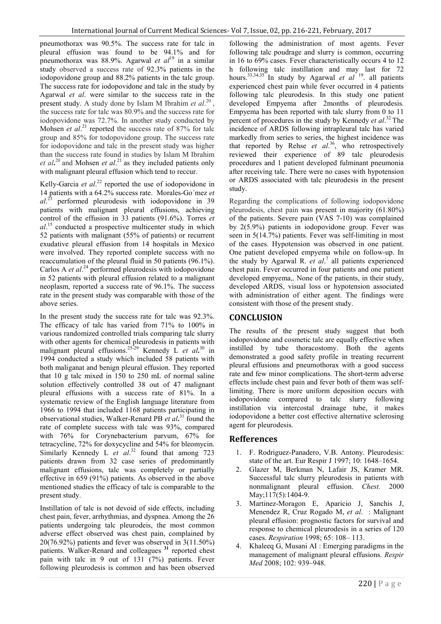pneumothorax was 90.5%. The success rate for talc in pleural effusion was found to be 94.1% and for pneumothorax was 88.9%. Agarwal *et al*<sup>19</sup> in a similar study observed a success rate of 92.3% patients in the iodopovidone group and 88.2% patients in the talc group. The success rate for iodopovidone and talc in the study by Agarwal *et al*. were similar to the success rate in the present study. A study done by Islam M Ibrahim *et al*. 20 , the success rate for talc was 80.9% and the success rate for iodopovidone was 72.7%. In another study conducted by Mohsen *et al.*<sup>21</sup> reported the success rate of 87% for talc group and 85% for todopovidone group. The success rate for iodopovidone and talc in the present study was higher than the success rate found in studies by Islam M Ibrahim *et al***.** 20 and Mohsen *et al*. 21 as they included patients only with malignant pleural effusion which tend to reccur.

Kelly-Garcia *et al.*<sup>22</sup> reported the use of iodopovidone in 14 patients with a 64.2% success rate. Morales-Go´mez *et al*. <sup>23</sup> performed pleurodesis with iodopovidone in 39 patients with malignant pleural effusions, achieving control of the effusion in 33 patients (91.6%). Torres *et al*. <sup>15</sup> conducted a prospective multicenter study in which 52 patients with malignant (55% of patients) or recurrent exudative pleural effusion from 14 hospitals in Mexico were involved. They reported complete success with no reaccumulation of the pleural fluid in 50 patients (96.1%). Carlos A *et al.*<sup>24</sup> performed pleurodesis with iodopovidone in 52 patients with pleural effusion related to a malignant neoplasm, reported a success rate of 96.1%. The success rate in the present study was comparable with those of the above series.

In the present study the success rate for talc was 92.3%. The efficacy of talc has varied from 71% to 100% in various randomized controlled trials comparing talc slurry with other agents for chemical pleurodesis in patients with malignant pleural effusions.25-29 Kennedy L *et al***.** <sup>30</sup> in 1994 conducted a study which included 58 patients with both maliganat and benign pleural effusion. They reported that 10 g talc mixed in 150 to 250 mL of normal saline solution effectively controlled 38 out of 47 malignant pleural effusions with a success rate of 81%. In a systematic review of the English language literature from 1966 to 1994 that included 1168 patients participating in observational studies, Walker-Renard PB *et al***.** <sup>31</sup> found the rate of complete success with talc was 93%, compared with 76% for Corynebacterium parvum, 67% for tetracycline, 72% for doxycycline and 54% for bleomycin. Similarly Kennedy L *et al.*<sup>32</sup> found that among 723 patients drawn from 32 case series of predominantly malignant effusions, talc was completely or partially effective in 659 (91%) patients. As observed in the above mentioned studies the efficacy of talc is comparable to the present study.

Instillation of talc is not devoid of side effects, including chest pain, fever, arrhythmias, and dyspnea. Among the 26 patients undergoing talc pleurodeis, the most common adverse effect observed was chest pain, complained by  $20(76.92\%)$  patients and fever was observed in  $3(11.50\%)$ patients. Walker-Renard and colleagues **<sup>31</sup>** reported chest pain with talc in 9 out of 131 (7%) patients. Fever following pleurodesis is common and has been observed

following the administration of most agents. Fever following talc poudrage and slurry is common, occurring in 16 to 69% cases. Fever characteristically occurs 4 to 12 h following talc instillation and may last for 72 hours.<sup>33,34,35</sup> In study by Agarwal *et al* <sup>19</sup>. all patients experienced chest pain while fever occurred in 4 patients following talc pleurodesis. In this study one patient developed Empyema after 2months of pleurodesis. Empyema has been reported with talc slurry from 0 to 11 percent of procedures in the study by Kennedy *et al*. 32 The incidence of ARDS following intrapleural talc has varied markedly from series to series, the highest incidence was that reported by Rehse *et al*. 36, who retrospectively reviewed their experience of 89 talc pleurodesis procedures and 1 patient developed fulminant pneumonia after receiving talc. There were no cases with hypotension or ARDS associated with talc pleurodesis in the present study.

Regarding the complications of following iodopovidone pleurodesis, chest pain was present in majority (61.80%) of the patients. Severe pain (VAS 7-10) was complained by 2(5.9%) patients in iodopovidone group. Fever was seen in 5(14.7%) patients. Fever was self-limiting in most of the cases. Hypotension was observed in one patient. One patient developed empyema while on follow-up. In the study by Agarwal R. *et al*. <sup>7</sup> all patients experienced chest pain. Fever occurred in four patients and one patient developed empyema,. None of the patients, in their study, developed ARDS, visual loss or hypotension associated with administration of either agent. The findings were consistent with those of the present study.

#### **CONCLUSION** J

The results of the present study suggest that both iodopovidone and cosmetic talc are equally effective when instilled by tube thoracostomy. Both the agents demonstrated a good safety profile in treating recurrent pleural effusions and pneumothorax with a good success rate and few minor complications. The short-term adverse effects include chest pain and fever both of them was selflimiting. There is more uniform deposition occurs with iodopovidone compared to talc slurry following instillation via intercostal drainage tube, it makes iodopovidone a better cost effective alternative sclerosing agent for pleurodesis.

### **Refferences**

- 1. F. Rodriguez-Panadero, V.B. Antony. Pleurodesis: state of the art. Eur Respir J 1997; 10: 1648–1654.
- 2. Glazer M, Berkman N, Lafair JS, Kramer MR. Successful talc slurry pleurodesis in patients with nonmalignant pleural effusion. *Chest.* 2000 May: 117(5): 1404-9.
- 3. Martinez-Moragon E, Aparicio J, Sanchis J, Menendez R, Cruz Rogado M, *et al*. : Malignant pleural effusion: prognostic factors for survival and response to chemical pleurodesis in a series of 120 cases. *Respiration* 1998; 65: 108– 113.
- 4. Khaleeq G, Musani AI : Emerging paradigms in the management of malignant pleural effusions. *Respir Med* 2008; 102: 939–948.